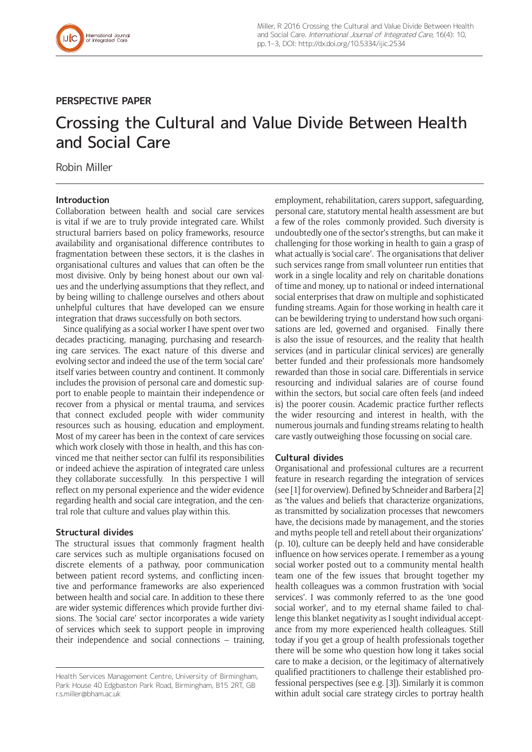

## **PERSPECTIVE PAPER**

# Crossing the Cultural and Value Divide Between Health and Social Care

Robin Miller

### **Introduction**

Collaboration between health and social care services is vital if we are to truly provide integrated care. Whilst structural barriers based on policy frameworks, resource availability and organisational difference contributes to fragmentation between these sectors, it is the clashes in organisational cultures and values that can often be the most divisive. Only by being honest about our own values and the underlying assumptions that they reflect, and by being willing to challenge ourselves and others about unhelpful cultures that have developed can we ensure integration that draws successfully on both sectors.

Since qualifying as a social worker I have spent over two decades practicing, managing, purchasing and researching care services. The exact nature of this diverse and evolving sector and indeed the use of the term 'social care' itself varies between country and continent. It commonly includes the provision of personal care and domestic support to enable people to maintain their independence or recover from a physical or mental trauma, and services that connect excluded people with wider community resources such as housing, education and employment. Most of my career has been in the context of care services which work closely with those in health, and this has convinced me that neither sector can fulfil its responsibilities or indeed achieve the aspiration of integrated care unless they collaborate successfully. In this perspective I will reflect on my personal experience and the wider evidence regarding health and social care integration, and the central role that culture and values play within this.

#### **Structural divides**

The structural issues that commonly fragment health care services such as multiple organisations focused on discrete elements of a pathway, poor communication between patient record systems, and conflicting incentive and performance frameworks are also experienced between health and social care. In addition to these there are wider systemic differences which provide further divisions. The 'social care' sector incorporates a wide variety of services which seek to support people in improving their independence and social connections – training,

employment, rehabilitation, carers support, safeguarding, personal care, statutory mental health assessment are but a few of the roles commonly provided. Such diversity is undoubtedly one of the sector's strengths, but can make it challenging for those working in health to gain a grasp of what actually is 'social care'. The organisations that deliver such services range from small volunteer run entities that work in a single locality and rely on charitable donations of time and money, up to national or indeed international social enterprises that draw on multiple and sophisticated funding streams. Again for those working in health care it can be bewildering trying to understand how such organisations are led, governed and organised. Finally there is also the issue of resources, and the reality that health services (and in particular clinical services) are generally better funded and their professionals more handsomely rewarded than those in social care. Differentials in service resourcing and individual salaries are of course found within the sectors, but social care often feels (and indeed is) the poorer cousin. Academic practice further reflects the wider resourcing and interest in health, with the numerous journals and funding streams relating to health care vastly outweighing those focussing on social care.

#### **Cultural divides**

Organisational and professional cultures are a recurrent feature in research regarding the integration of services (see [1] for overview). Defined by Schneider and Barbera [2] as 'the values and beliefs that characterize organizations, as transmitted by socialization processes that newcomers have, the decisions made by management, and the stories and myths people tell and retell about their organizations' (p. 10), culture can be deeply held and have considerable influence on how services operate. I remember as a young social worker posted out to a community mental health team one of the few issues that brought together my health colleagues was a common frustration with 'social services'. I was commonly referred to as the 'one good social worker', and to my eternal shame failed to challenge this blanket negativity as I sought individual acceptance from my more experienced health colleagues. Still today if you get a group of health professionals together there will be some who question how long it takes social care to make a decision, or the legitimacy of alternatively qualified practitioners to challenge their established professional perspectives (see e.g. [3]). Similarly it is common within adult social care strategy circles to portray health

Health Services Management Centre, University of Birmingham, Park House 40 Edgbaston Park Road, Birmingham, B15 2RT, GB [r.s.miller@bham.ac.uk](mailto:r.s.miller@bham.ac.uk)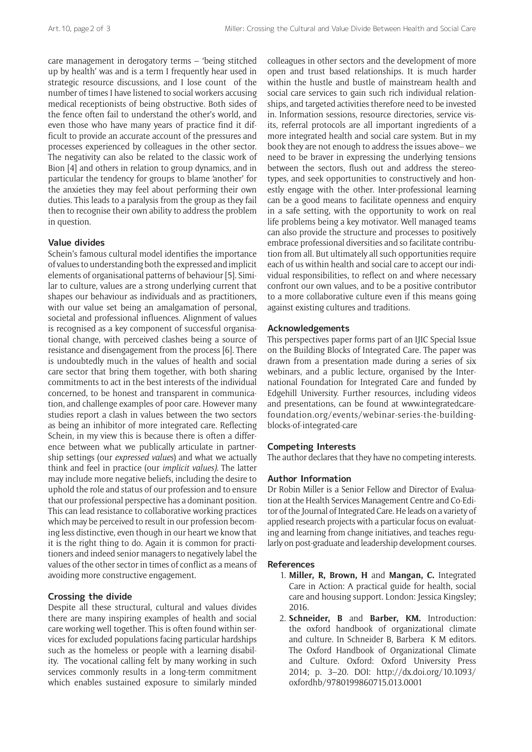care management in derogatory terms – 'being stitched up by health' was and is a term I frequently hear used in strategic resource discussions, and I lose count of the number of times I have listened to social workers accusing medical receptionists of being obstructive. Both sides of the fence often fail to understand the other's world, and even those who have many years of practice find it difficult to provide an accurate account of the pressures and processes experienced by colleagues in the other sector. The negativity can also be related to the classic work of Bion [4] and others in relation to group dynamics, and in particular the tendency for groups to blame 'another' for the anxieties they may feel about performing their own duties. This leads to a paralysis from the group as they fail then to recognise their own ability to address the problem in question.

#### **Value divides**

Schein's famous cultural model identifies the importance of values to understanding both the expressed and implicit elements of organisational patterns of behaviour [5]. Similar to culture, values are a strong underlying current that shapes our behaviour as individuals and as practitioners, with our value set being an amalgamation of personal, societal and professional influences. Alignment of values is recognised as a key component of successful organisational change, with perceived clashes being a source of resistance and disengagement from the process [6]. There is undoubtedly much in the values of health and social care sector that bring them together, with both sharing commitments to act in the best interests of the individual concerned, to be honest and transparent in communication, and challenge examples of poor care. However many studies report a clash in values between the two sectors as being an inhibitor of more integrated care. Reflecting Schein, in my view this is because there is often a difference between what we publically articulate in partnership settings (our *expressed values*) and what we actually think and feel in practice (our *implicit values)*. The latter may include more negative beliefs, including the desire to uphold the role and status of our profession and to ensure that our professional perspective has a dominant position. This can lead resistance to collaborative working practices which may be perceived to result in our profession becoming less distinctive, even though in our heart we know that it is the right thing to do. Again it is common for practitioners and indeed senior managers to negatively label the values of the other sector in times of conflict as a means of avoiding more constructive engagement.

#### **Crossing the divide**

Despite all these structural, cultural and values divides there are many inspiring examples of health and social care working well together. This is often found within services for excluded populations facing particular hardships such as the homeless or people with a learning disability. The vocational calling felt by many working in such services commonly results in a long-term commitment which enables sustained exposure to similarly minded

colleagues in other sectors and the development of more open and trust based relationships. It is much harder within the hustle and bustle of mainstream health and social care services to gain such rich individual relationships, and targeted activities therefore need to be invested in. Information sessions, resource directories, service visits, referral protocols are all important ingredients of a more integrated health and social care system. But in my book they are not enough to address the issues above– we need to be braver in expressing the underlying tensions between the sectors, flush out and address the stereotypes, and seek opportunities to constructively and honestly engage with the other. Inter-professional learning can be a good means to facilitate openness and enquiry in a safe setting, with the opportunity to work on real life problems being a key motivator. Well managed teams can also provide the structure and processes to positively embrace professional diversities and so facilitate contribution from all. But ultimately all such opportunities require each of us within health and social care to accept our individual responsibilities, to reflect on and where necessary confront our own values, and to be a positive contributor to a more collaborative culture even if this means going against existing cultures and traditions.

#### **Acknowledgements**

This perspectives paper forms part of an IJIC Special Issue on the Building Blocks of Integrated Care. The paper was drawn from a presentation made during a series of six webinars, and a public lecture, organised by the International Foundation for Integrated Care and funded by Edgehill University. Further resources, including videos and presentations, can be found at [www.integratedcare](http://www.integratedcarefoundation.org/events/webinar-series-the-building-blocks-of-integrated-care)[foundation.org/events/webinar-series-the-building](http://www.integratedcarefoundation.org/events/webinar-series-the-building-blocks-of-integrated-care)[blocks-of-integrated-care](http://www.integratedcarefoundation.org/events/webinar-series-the-building-blocks-of-integrated-care)

#### **Competing Interests**

The author declares that they have no competing interests.

#### **Author Information**

Dr Robin Miller is a Senior Fellow and Director of Evaluation at the Health Services Management Centre and Co-Editor of the Journal of Integrated Care. He leads on a variety of applied research projects with a particular focus on evaluating and learning from change initiatives, and teaches regularly on post-graduate and leadership development courses.

#### **References**

- 1. **Miller, R, Brown, H** and **Mangan, C.** Integrated Care in Action: A practical guide for health, social care and housing support. London: Jessica Kingsley; 2016.
- 2. **Schneider, B** and **Barber, KM.** Introduction: the oxford handbook of organizational climate and culture. In Schneider B, Barbera K M editors. The Oxford Handbook of Organizational Climate and Culture. Oxford: Oxford University Press 2014; p. 3–20. DOI: [http://dx.doi.org/10.1093/](http://dx.doi.org/10.1093/oxfordhb/9780199860715.013.0001) [oxfordhb/9780199860715.013.0001](http://dx.doi.org/10.1093/oxfordhb/9780199860715.013.0001)